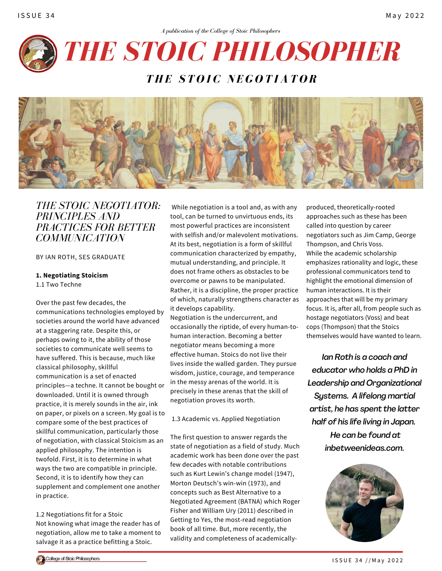

*THE STOIC NEGOTIATOR* 



# *THE STOIC NEGOTIATOR: PRINCIPLES AND PRACTICES FOR BETTER COMMUNICATION*

BY IAN ROTH, SES GRADUATE

#### **1. Negotiating Stoicism**

1.1 Two Techne

Over the past few decades, the communications technologies employed by societies around the world have advanced at a staggering rate. Despite this, or perhaps owing to it, the ability of those societies to communicate well seems to have suffered. This is because, much like classical philosophy, skillful communication is a set of enacted principles—a techne. It cannot be bought or downloaded. Until it is owned through practice, it is merely sounds in the air, ink on paper, or pixels on a screen. My goal is to compare some of the best practices of skillful communication, particularly those of negotiation, with classical Stoicism as an applied philosophy. The intention is twofold. First, it is to determine in what ways the two are compatible in principle. Second, it is to identify how they can supplement and complement one another in practice.

1.2 Negotiations fit for a Stoic Not knowing what image the reader has of negotiation, allow me to take a moment to salvage it as a practice befitting a Stoic.

While negotiation is a tool and, as with any tool, can be turned to unvirtuous ends, its most powerful practices are inconsistent with selfish and/or malevolent motivations. At its best, negotiation is a form of skillful communication characterized by empathy, mutual understanding, and principle. It does not frame others as obstacles to be overcome or pawns to be manipulated. Rather, it is a discipline, the proper practice of which, naturally strengthens character as it develops capability.

Negotiation is the undercurrent, and occasionally the riptide, of every human-tohuman interaction. Becoming a better negotiator means becoming a more effective human. Stoics do not live their lives inside the walled garden. They pursue wisdom, justice, courage, and temperance in the messy arenas of the world. It is precisely in these arenas that the skill of negotiation proves its worth.

1.3 Academic vs. Applied Negotiation

The first question to answer regards the state of negotiation as a field of study. Much academic work has been done over the past few decades with notable contributions such as Kurt Lewin's change model (1947), Morton Deutsch's win-win (1973), and concepts such as Best Alternative to a Negotiated Agreement (BATNA) which Roger Fisher and William Ury (2011) described in Getting to Yes, the most-read negotiation book of all time. But, more recently, the validity and completeness of academically-

produced, theoretically-rooted approaches such as these has been called into question by career negotiators such as Jim Camp, George Thompson, and Chris Voss. While the academic scholarship emphasizes rationality and logic, these professional communicators tend to highlight the emotional dimension of human interactions. It is their approaches that will be my primary focus. It is, after all, from people such as hostage negotiators (Voss) and beat cops (Thompson) that the Stoics themselves would have wanted to learn.

*Ian Roth is a coach and educator who holds a PhD in Leadership and Organizational Systems. A lifelong martial artist, he has spent the latter half of his life living in Japan. He can be found at [inbetweenideas.com.](http://inbetweenideas.com/)*

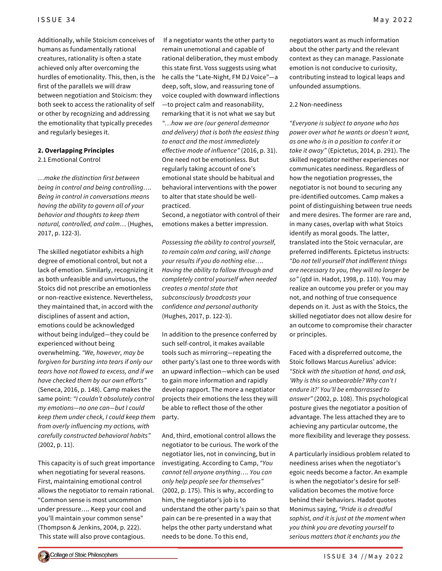Additionally, while Stoicism conceives of humans as fundamentally rational creatures, rationality is often a state achieved only after overcoming the hurdles of emotionality. This, then, is the first of the parallels we will draw between negotiation and Stoicism: they both seek to access the rationality of self or other by recognizing and addressing the emotionality that typically precedes and regularly besieges it.

#### **2. Overlapping Principles**

2.1 Emotional Control

*…make the distinction first between being in control and being controlling…. Being in control in conversations means having the ability to govern all of your behavior and thoughts to keep them natural, controlled, and calm…* (Hughes, 2017, p. 122-3).

The skilled negotiator exhibits a high degree of emotional control, but not a lack of emotion. Similarly, recognizing it as both unfeasible and unvirtuous, the Stoics did not prescribe an emotionless or non-reactive existence. Nevertheless, they maintained that, in accord with the disciplines of assent and action, emotions could be acknowledged without being indulged—they could be experienced without being overwhelming. *"We, however, may be forgiven for bursting into tears if only our tears have not flowed to excess, and if we have checked them by our own efforts"* (Seneca, 2016, p. 148). Camp makes the same point: *"I couldn't absolutely control my emotions—no one can—but I could keep them under check, I could keep them from overly influencing my actions, with carefully constructed behavioral habits"* (2002, p. 11).

This capacity is of such great importance when negotiating for several reasons. First, maintaining emotional control allows the negotiator to remain rational. "Common sense is most uncommon under pressure…. Keep your cool and you'll maintain your common sense" (Thompson & Jenkins, 2004, p. 222). This state will also prove contagious.

If a negotiator wants the other party to remain unemotional and capable of rational deliberation, they must embody this state first. Voss suggests using what he calls the "Late-Night, FM DJ Voice"—a deep, soft, slow, and reassuring tone of voice coupled with downward inflections —to project calm and reasonability, remarking that it is not what we say but *"…how we are (our general demeanor and delivery) that is both the easiest thing to enact and the most immediately effective mode of influence"* (2016, p. 31). One need not be emotionless. But regularly taking account of one's emotional state should be habitual and behavioral interventions with the power to alter that state should be wellpracticed.

Second, a negotiator with control of their emotions makes a better impression.

*Possessing the ability to control yourself, to remain calm and caring, will change your results if you do nothing else…. Having the ability to follow through and completely control yourself when needed creates a mental state that subconsciously broadcasts your confidence and personal authority* (Hughes, 2017, p. 122-3).

In addition to the presence conferred by such self-control, it makes available tools such as mirroring—repeating the other party's last one to three words with an upward inflection—which can be used to gain more information and rapidly develop rapport. The more a negotiator projects their emotions the less they will be able to reflect those of the other party.

And, third, emotional control allows the negotiator to be curious. The work of the negotiator lies, not in convincing, but in investigating. According to Camp, *"You cannot tell anyone anything…. You can only help people see for themselves"* (2002, p. 175). This is why, according to him, the negotiator's job is to understand the other party's pain so that pain can be re-presented in a way that helps the other party understand what needs to be done. To this end,

negotiators want as much information about the other party and the relevant context as they can manage. Passionate emotion is not conducive to curiosity, contributing instead to logical leaps and unfounded assumptions.

#### 2.2 Non-neediness

*"Everyone is subject to anyone who has power over what he wants or doesn't want, as one who is in a position to confer it or take it away"* (Epictetus, 2014, p. 291). The skilled negotiator neither experiences nor communicates neediness. Regardless of how the negotiation progresses, the negotiator is not bound to securing any pre-identified outcomes. Camp makes a point of distinguishing between true needs and mere desires. The former are rare and, in many cases, overlap with what Stoics identify as moral goods. The latter, translated into the Stoic vernacular, are preferred indifferents. Epictetus instructs: *"Do not tell yourself that indifferent things are necessary to you, they will no longer be so"* (qtd in. Hadot, 1998, p. 110). You may realize an outcome you prefer or you may not, and nothing of true consequence depends on it. Just as with the Stoics, the skilled negotiator does not allow desire for an outcome to compromise their character or principles.

Faced with a dispreferred outcome, the Stoic follows Marcus Aurelius' advice: *"Stick with the situation at hand, and ask, 'Why is this so unbearable? Why can't I endure it?' You'll be embarrassed to answer"* (2002, p. 108). This psychological posture gives the negotiator a position of advantage. The less attached they are to achieving any particular outcome, the more flexibility and leverage they possess.

A particularly insidious problem related to neediness arises when the negotiator's egoic needs become a factor. An example is when the negotiator's desire for selfvalidation becomes the motive force behind their behaviors. Hadot quotes Monimus saying, *"Pride is a dreadful sophist, and it is just at the moment when you think you are devoting yourself to serious matters that it enchants you the*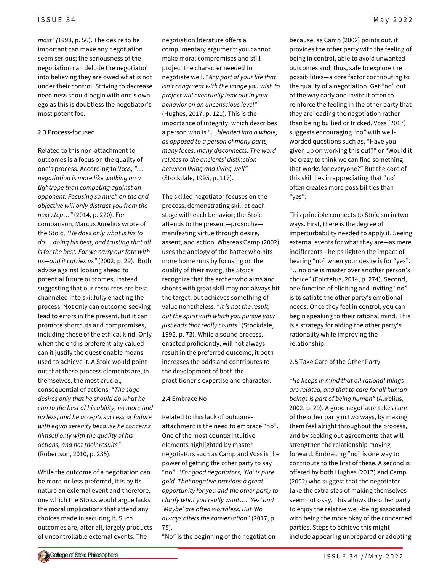*most" (*1998, p. 56). The desire to be important can make any negotiation seem serious; the seriousness of the negotiation can delude the negotiator into believing they are owed what is not under their control. Striving to decrease neediness should begin with one's own ego as this is doubtless the negotiator's most potent foe.

#### 2.3 Process-focused

Related to this non-attachment to outcomes is a focus on the quality of one's process. According to Voss, *"… negotiation is more like walking on a tightrope than competing against an opponent. Focusing so much on the end objective will only distract you from the next step…"* (2014, p. 220). For comparison, Marcus Aurelius wrote of the Stoic, "*He does only what is his to do… doing his best, and trusting that all is for the best. For we carry our fate with us—and it carries us"* (2002, p. 29). Both advise against looking ahead to potential future outcomes, instead suggesting that our resources are best channeled into skillfully enacting the process. Not only can outcome-seeking lead to errors in the present, but it can promote shortcuts and compromises, including those of the ethical kind. Only when the end is preferentially valued can it justify the questionable means used to achieve it. A Stoic would point out that these process elements are, in themselves, the most crucial, consequential of actions. "*The sage desires only that he should do what he can to the best of his ability, no more and no less, and he accepts success or failure with equal serenity because he concerns himself only with the quality of his actions, and not their results"* (Robertson, 2010, p. 235).

While the outcome of a negotiation can be more-or-less preferred, it is by its nature an external event and therefore, one which the Stoics would argue lacks the moral implications that attend any choices made in securing it. Such outcomes are, after all, largely products of uncontrollable external events. The

negotiation literature offers a complimentary argument: you cannot make moral compromises and still project the character needed to negotiate well. "*Any part of your life that isn't congruent with the image you wish to project will eventually leak out in your behavior on an unconscious level"* (Hughes, 2017, p. 121). This is the importance of integrity, which describes a person who is "*…blended into a whole, as opposed to a person of many parts, many faces, many disconnects. The word relates to the ancients' distinction between living and living well"* (Stockdale, 1995, p. 117).

The skilled negotiator focuses on the process, demonstrating skill at each stage with each behavior; the Stoic attends to the present—prosochē manifesting virtue through desire, assent, and action. Whereas Camp (2002) uses the analogy of the batter who hits more home runs by focusing on the quality of their swing, the Stoics recognize that the archer who aims and shoots with great skill may not always hit the target, but achieves something of value nonetheless. "*It is not the result, but the spirit with which you pursue your just ends that really counts"* (Stockdale, 1995, p. 73). While a sound process, enacted proficiently, will not always result in the preferred outcome, it both increases the odds and contributes to the development of both the practitioner's expertise and character.

#### 2.4 Embrace No

Related to this lack of outcomeattachment is the need to embrace "no". One of the most counterintuitive elements highlighted by master negotiators such as Camp and Voss is the power of getting the other party to say "no". "*For good negotiators, 'No' is pure gold. That negative provides a great opportunity for you and the other party to clarify what you really want…. 'Yes' and 'Maybe' are often worthless. But 'No' always alters the conversation*" (2017, p. 75).

"No" is the beginning of the negotiation

because, as Camp (2002) points out, it provides the other party with the feeling of being in control, able to avoid unwanted outcomes and, thus, safe to explore the possibilities—a core factor contributing to the quality of a negotiation. Get "no" out of the way early and invite it often to reinforce the feeling in the other party that they are leading the negotiation rather than being bullied or tricked. Voss (2017) suggests encouraging "no" with wellworded questions such as, "Have you given up on working this out?" or "Would it be crazy to think we can find something that works for everyone?" But the core of this skill lies in appreciating that "no" often creates more possibilities than "yes".

This principle connects to Stoicism in two ways. First, there is the degree of imperturbability needed to apply it. Seeing external events for what they are—as mere indifferents—helps lighten the impact of hearing "no" when your desire is for "yes". "…no one is master over another person's choice" (Epictetus, 2014, p. 274). Second, one function of eliciting and inviting "no" is to satiate the other party's emotional needs. Once they feel in control, you can begin speaking to their rational mind. This is a strategy for aiding the other party's rationality while improving the relationship.

### 2.5 Take Care of the Other Party

"*He keeps in mind that all rational things are related, and that to care for all human beings is part of being human"* (Aurelius, 2002, p. 29). A good negotiator takes care of the other party in two ways, by making them feel alright throughout the process, and by seeking out agreements that will strengthen the relationship moving forward. Embracing "no" is one way to contribute to the first of these. A second is offered by both Hughes (2017) and Camp (2002) who suggest that the negotiator take the extra step of making themselves seem not okay. This allows the other party to enjoy the relative well-being associated with being the more okay of the concerned parties. Steps to achieve this might include appearing unprepared or adopting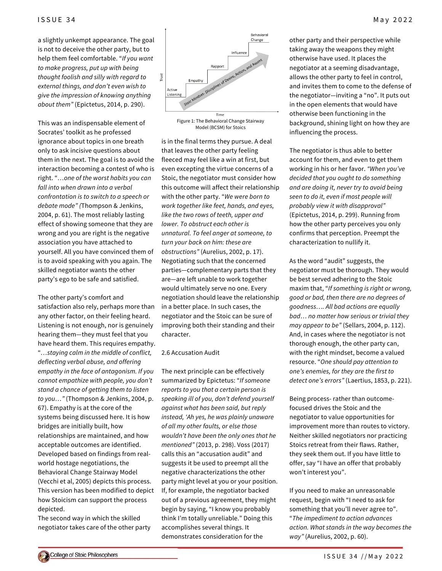a slightly unkempt appearance. The goal is not to deceive the other party, but to help them feel comfortable. "*If you want to make progress, put up with being thought foolish and silly with regard to external things, and don't even wish to give the impression of knowing anything about them"* (Epictetus, 2014, p. 290).

This was an indispensable element of Socrates' toolkit as he professed ignorance about topics in one breath only to ask incisive questions about them in the next. The goal is to avoid the interaction becoming a contest of who is right. "*…one of the worst habits you can fall into when drawn into a verbal confrontation is to switch to a speech or debate mode" (*Thompson & Jenkins, 2004, p. 61). The most reliably lasting effect of showing someone that they are wrong and you are right is the negative association you have attached to yourself. All you have convinced them of is to avoid speaking with you again. The skilled negotiator wants the other party's ego to be safe and satisfied.

The other party's comfort and satisfaction also rely, perhaps more than any other factor, on their feeling heard. Listening is not enough, nor is genuinely hearing them—they must feel that you have heard them. This requires empathy. "*…staying calm in the middle of conflict, deflecting verbal abuse, and offering empathy in the face of antagonism. If you cannot empathize with people, you don't stand a chance of getting them to listen to you…"* (Thompson & Jenkins, 2004, p. 67). Empathy is at the core of the systems being discussed here. It is how bridges are initially built, how relationships are maintained, and how acceptable outcomes are identified. Developed based on findings from realworld hostage negotiations, the Behavioral Change Stairway Model (Vecchi et al, 2005) depicts this process. This version has been modified to depict how Stoicism can support the process depicted.

The second way in which the skilled negotiator takes care of the other party



Model (BCSM) for Stoics

is in the final terms they pursue. A deal that leaves the other party feeling fleeced may feel like a win at first, but even excepting the virtue concerns of a Stoic, the negotiator must consider how this outcome will affect their relationship with the other party. "*We were born to work together like feet, hands, and eyes, like the two rows of teeth, upper and lower. To obstruct each other is unnatural. To feel anger at someone, to turn your back on him: these are obstructions"* (Aurelius, 2002, p. 17). Negotiating such that the concerned parties—complementary parts that they are—are left unable to work together would ultimately serve no one. Every negotiation should leave the relationship in a better place. In such cases, the negotiator and the Stoic can be sure of improving both their standing and their character.

#### 2.6 Accusation Audit

The next principle can be effectively summarized by Epictetus: "*If someone reports to you that a certain person is speaking ill of you, don't defend yourself against what has been said, but reply instead, 'Ah yes, he was plainly unaware of all my other faults, or else those wouldn't have been the only ones that he mentioned"* (2013, p. 298). Voss (2017) calls this an "accusation audit" and suggests it be used to preempt all the negative characterizations the other party might level at you or your position. If, for example, the negotiator backed out of a previous agreement, they might begin by saying, "I know you probably think I'm totally unreliable." Doing this accomplishes several things. It demonstrates consideration for the

other party and their perspective while taking away the weapons they might otherwise have used. It places the negotiator at a seeming disadvantage, allows the other party to feel in control, and invites them to come to the defense of the negotiator—inviting a "no". It puts out in the open elements that would have otherwise been functioning in the background, shining light on how they are influencing the process.

The negotiator is thus able to better account for them, and even to get them working in his or her favor. *"When you've decided that you ought to do something and are doing it, never try to avoid being seen to do it, even if most people will probably view it with disapproval"* (Epictetus, 2014, p. 299). Running from how the other party perceives you only confirms that perception. Preempt the characterization to nullify it.

As the word "audit" suggests, the negotiator must be thorough. They would be best served adhering to the Stoic maxim that, "*If something is right or wrong, good or bad, then there are no degrees of goodness…. All bad actions are equally bad… no matter how serious or trivial they may appear to be"* (Sellars, 2004, p. 112). And, in cases where the negotiator is not thorough enough, the other party can, with the right mindset, become a valued resource. "*One should pay attention to one's enemies, for they are the first to detect one's errors"* (Laertius, 1853, p. 221).

Being process- rather than outcomefocused drives the Stoic and the negotiator to value opportunities for improvement more than routes to victory. Neither skilled negotiators nor practicing Stoics retreat from their flaws. Rather, they seek them out. If you have little to offer, say "I have an offer that probably won't interest you".

If you need to make an unreasonable request, begin with "I need to ask for something that you'll never agree to". "*The impediment to action advances action. What stands in the way becomes the way"* (Aurelius, 2002, p. 60).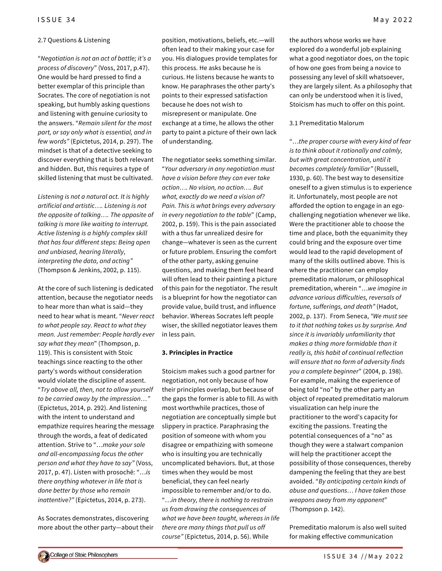#### 2.7 Questions & Listening

"*Negotiation is not an act of battle; it's a process of discovery*" (Voss, 2017, p.47). One would be hard pressed to find a better exemplar of this principle than Socrates. The core of negotiation is not speaking, but humbly asking questions and listening with genuine curiosity to the answers. "*Remain silent for the most part, or say only what is essential, and in few words"* (Epictetus, 2014, p. 297). The mindset is that of a detective seeking to discover everything that is both relevant and hidden. But, this requires a type of skilled listening that must be cultivated.

*Listening is not a natural act. It is highly artificial and artistic…. Listening is not the opposite of talking…. The opposite of talking is more like waiting to interrupt. Active listening is a highly complex skill that has four different steps: Being open and unbiased, hearing literally, interpreting the data, and acting"* (Thompson & Jenkins, 2002, p. 115).

At the core of such listening is dedicated attention, because the negotiator needs to hear more than what is said—they need to hear what is meant. "*Never react to what people say. React to what they mean. Just remember: People hardly ever say what they mean*" (Thompson, p. 119). This is consistent with Stoic teachings since reacting to the other party's words without consideration would violate the discipline of assent. "*Try above all, then, not to allow yourself to be carried away by the impression…"* (Epictetus, 2014, p. 292). And listening with the intent to understand and empathize requires hearing the message through the words, a feat of dedicated attention. Strive to "…*make your sole and all-encompassing focus the other person and what they have to say"* (Voss, 2017, p. 47). Listen with prosochē: "…*is there anything whatever in life that is done better by those who remain inattentive?"* (Epictetus, 2014, p. 273).

As Socrates demonstrates, discovering more about the other party—about their

position, motivations, beliefs, etc.—will often lead to their making your case for you. His dialogues provide templates for this process. He asks because he is curious. He listens because he wants to know. He paraphrases the other party's points to their expressed satisfaction because he does not wish to misrepresent or manipulate. One exchange at a time, he allows the other party to paint a picture of their own lack of understanding.

The negotiator seeks something similar. "*Your adversary in any negotiation must have a vision before they can ever take action…. No vision, no action…. But what, exactly do we need a vision of? Pain. This is what brings every adversary in every negotiation to the table*" (Camp, 2002, p. 159). This is the pain associated with a thus far unrealized desire for change—whatever is seen as the current or future problem. Ensuring the comfort of the other party, asking genuine questions, and making them feel heard will often lead to their painting a picture of this pain for the negotiator. The result is a blueprint for how the negotiator can provide value, build trust, and influence behavior. Whereas Socrates left people wiser, the skilled negotiator leaves them in less pain.

### **3. Principles in Practice**

Stoicism makes such a good partner for negotiation, not only because of how their principles overlap, but because of the gaps the former is able to fill. As with most worthwhile practices, those of negotiation are conceptually simple but slippery in practice. Paraphrasing the position of someone with whom you disagree or empathizing with someone who is insulting you are technically uncomplicated behaviors. But, at those times when they would be most beneficial, they can feel nearly impossible to remember and/or to do. "…*in theory, there is nothing to restrain us from drawing the consequences of what we have been taught, whereas in life there are many things that pull us off course"* (Epictetus, 2014, p. 56). While

the authors whose works we have explored do a wonderful job explaining what a good negotiator does, on the topic of how one goes from being a novice to possessing any level of skill whatsoever, they are largely silent. As a philosophy that can only be understood when it is lived, Stoicism has much to offer on this point.

#### 3.1 Premeditatio Malorum

"…*the proper course with every kind of fear is to think about it rationally and calmly, but with great concentration, until it becomes completely familiar"* (Russell, 1930, p. 60). The best way to desensitize oneself to a given stimulus is to experience it. Unfortunately, most people are not afforded the option to engage in an egochallenging negotiation whenever we like. Were the practitioner able to choose the time and place, both the equanimity they could bring and the exposure over time would lead to the rapid development of many of the skills outlined above. This is where the practitioner can employ premeditatio malorum, or philosophical premeditation, wherein "…*we imagine in advance various difficulties, reversals of fortune, sufferings, and death"* (Hadot, 2002, p. 137). From Seneca, *"We must see to it that nothing takes us by surprise. And since it is invariably unfamiliarity that makes a thing more formidable than it really is, this habit of continual reflection will ensure that no form of adversity finds you a complete beginner*" (2004, p. 198). For example, making the experience of being told "no" by the other party an object of repeated premeditatio malorum visualization can help inure the practitioner to the word's capacity for exciting the passions. Treating the potential consequences of a "no" as though they were a stalwart companion will help the practitioner accept the possibility of those consequences, thereby dampening the feeling that they are best avoided. "*By anticipating certain kinds of abuse and questions… I have taken those weapons away from my opponent*" (Thompson p. 142).

Premeditatio malorum is also well suited for making effective communication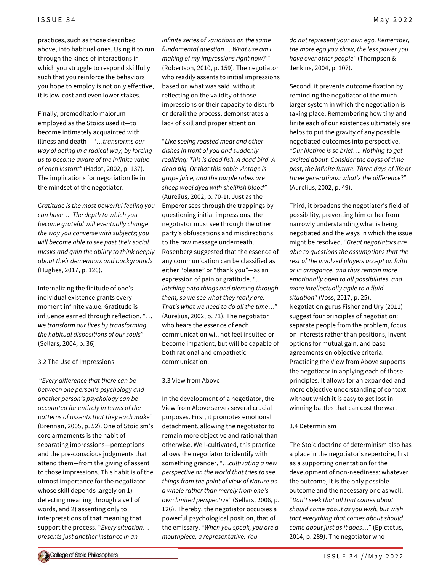practices, such as those described above, into habitual ones. Using it to run through the kinds of interactions in which you struggle to respond skillfully such that you reinforce the behaviors you hope to employ is not only effective, it is low-cost and even lower stakes.

Finally, premeditatio malorum employed as the Stoics used it—to become intimately acquainted with illness and death— "…*transforms our way of acting in a radical way, by forcing us to become aware of the infinite value of each instant"* (Hadot, 2002, p. 137). The implications for negotiation lie in the mindset of the negotiator.

*Gratitude is the most powerful feeling you can have…. The depth to which you become grateful will eventually change the way you converse with subjects; you will become able to see past their social masks and gain the ability to think deeply about their demeanors and backgrounds* (Hughes, 2017, p. 126).

Internalizing the finitude of one's individual existence grants every moment infinite value. Gratitude is influence earned through reflection. "… *we transform our lives by transforming the habitual dispositions of our souls*" (Sellars, 2004, p. 36).

3.2 The Use of Impressions

"*Every difference that there can be between one person's psychology and another person's psychology can be accounted for entirely in terms of the patterns of assents that they each make*" (Brennan, 2005, p. 52). One of Stoicism's core armaments is the habit of separating impressions—perceptions and the pre-conscious judgments that attend them—from the giving of assent to those impressions. This habit is of the utmost importance for the negotiator whose skill depends largely on 1) detecting meaning through a veil of words, and 2) assenting only to interpretations of that meaning that support the process. "*Every situation… presents just another instance in an*

*infinite series of variations on the same fundamental question…'What use am I making of my impressions right now?'"* (Robertson, 2010, p. 159). The negotiator who readily assents to initial impressions based on what was said, without reflecting on the validity of those impressions or their capacity to disturb or derail the process, demonstrates a lack of skill and proper attention.

"*Like seeing roasted meat and other dishes in front of you and suddenly realizing: This is dead fish. A dead bird. A dead pig. Or that this noble vintage is grape juice, and the purple robes are sheep wool dyed with shellfish blood"* (Aurelius, 2002, p. 70-1). Just as the Emperor sees through the trappings by questioning initial impressions, the negotiator must see through the other party's obfuscations and misdirections to the raw message underneath. Rosenberg suggested that the essence of any communication can be classified as either "please" or "thank you"—as an expression of pain or gratitude. "*… latching onto things and piercing through them, so we see what they really are. That's what we need to do all the time*…" (Aurelius, 2002, p. 71). The negotiator who hears the essence of each communication will not feel insulted or become impatient, but will be capable of both rational and empathetic communication.

### 3.3 View from Above

In the development of a negotiator, the View from Above serves several crucial purposes. First, it promotes emotional detachment, allowing the negotiator to remain more objective and rational than otherwise. Well-cultivated, this practice allows the negotiator to identify with something grander, "…*cultivating a new perspective on the world that tries to see things from the point of view of Nature as a whole rather than merely from one's own limited perspective"* (Sellars, 2006, p. 126). Thereby, the negotiator occupies a powerful psychological position, that of the emissary. "*When you speak, you are a mouthpiece, a representative. You*

*do not represent your own ego. Remember, the more ego you show, the less power you have over other people"* (Thompson & Jenkins, 2004, p. 107).

Second, it prevents outcome fixation by reminding the negotiator of the much larger system in which the negotiation is taking place. Remembering how tiny and finite each of our existences ultimately are helps to put the gravity of any possible negotiated outcomes into perspective. "*Our lifetime is so brief…. Nothing to get excited about. Consider the abyss of time past, the infinite future. Three days of life or three generations: what's the difference*?" (Aurelius, 2002, p. 49).

Third, it broadens the negotiator's field of possibility, preventing him or her from narrowly understanding what is being negotiated and the ways in which the issue might be resolved. *"Great negotiators are able to questions the assumptions that the rest of the involved players accept on faith or in arrogance, and thus remain more emotionally open to all possibilities, and more intellectually agile to a fluid situation*" (Voss, 2017, p. 25). Negotiation gurus Fisher and Ury (2011) suggest four principles of negotiation: separate people from the problem, focus on interests rather than positions, invent options for mutual gain, and base agreements on objective criteria. Practicing the View from Above supports the negotiator in applying each of these principles. It allows for an expanded and more objective understanding of context without which it is easy to get lost in winning battles that can cost the war.

### 3.4 Determinism

The Stoic doctrine of determinism also has a place in the negotiator's repertoire, first as a supporting orientation for the development of non-neediness: whatever the outcome, it is the only possible outcome and the necessary one as well. "*Don't seek that all that comes about should come about as you wish, but wish that everything that comes about should come about just as it does*…" (Epictetus, 2014, p. 289). The negotiator who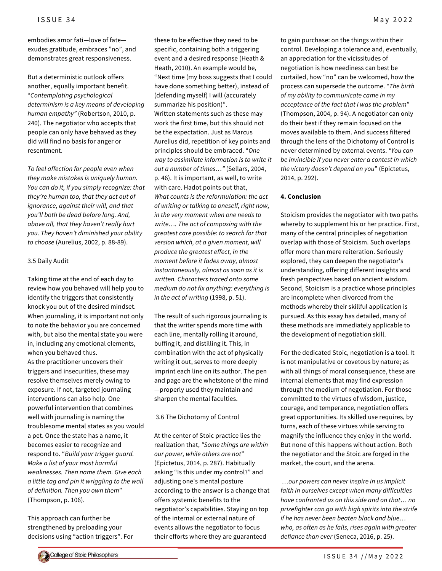embodies amor fati—love of fate exudes gratitude, embraces "no", and demonstrates great responsiveness.

But a deterministic outlook offers another, equally important benefit. "*Contemplating psychological determinism is a key means of developing human empathy"* (Robertson, 2010, p. 240). The negotiator who accepts that people can only have behaved as they did will find no basis for anger or resentment.

*To feel affection for people even when they make mistakes is uniquely human. You can do it, if you simply recognize: that they're human too, that they act out of ignorance, against their will, and that you'll both be dead before long. And, above all, that they haven't really hurt you. They haven't diminished your ability to choose* (Aurelius, 2002, p. 88-89).

### 3.5 Daily Audit

Taking time at the end of each day to review how you behaved will help you to identify the triggers that consistently knock you out of the desired mindset. When journaling, it is important not only to note the behavior you are concerned with, but also the mental state you were in, including any emotional elements, when you behaved thus. As the practitioner uncovers their triggers and insecurities, these may resolve themselves merely owing to exposure. If not, targeted journaling interventions can also help. One powerful intervention that combines well with journaling is naming the troublesome mental states as you would a pet. Once the state has a name, it becomes easier to recognize and respond to. "*Build your trigger guard. Make a list of your most harmful weaknesses. Then name them. Give each a little tag and pin it wriggling to the wall of definition. Then you own them*" (Thompson, p. 106).

This approach can further be strengthened by preloading your decisions using "action triggers". For

these to be effective they need to be specific, containing both a triggering event and a desired response (Heath & Heath, 2010). An example would be, "Next time (my boss suggests that I could have done something better), instead of (defending myself) I will (accurately summarize his position)". Written statements such as these may work the first time, but this should not be the expectation. Just as Marcus Aurelius did, repetition of key points and principles should be embraced. "*One way to assimilate information is to write it out a number of times…"* (Sellars, 2004, p. 46). It is important, as well, to write with care. Hadot points out that, *What counts is the reformulation: the act of writing or talking to oneself, right now, in the very moment when one needs to write…. The act of composing with the greatest care possible: to search for that version which, at a given moment, will produce the greatest effect, in the moment before it fades away, almost instantaneously, almost as soon as it is written. Characters traced onto some medium do not fix anything: everything is in the act of writing* (1998, p. 51).

The result of such rigorous journaling is that the writer spends more time with each line, mentally rolling it around, buffing it, and distilling it. This, in combination with the act of physically writing it out, serves to more deeply imprint each line on its author. The pen and page are the whetstone of the mind —properly used they maintain and sharpen the mental faculties.

### 3.6 The Dichotomy of Control

At the center of Stoic practice lies the realization that, *"Some things are within our power, while others are not*" (Epictetus, 2014, p. 287). Habitually asking "Is this under my control?" and adjusting one's mental posture according to the answer is a change that offers systemic benefits to the negotiator's capabilities. Staying on top of the internal or external nature of events allows the negotiator to focus their efforts where they are guaranteed

to gain purchase: on the things within their control. Developing a tolerance and, eventually, an appreciation for the vicissitudes of negotiation is how neediness can best be curtailed, how "no" can be welcomed, how the process can supersede the outcome. *"The birth of my ability to communicate came in my acceptance of the fact that I was the problem*" (Thompson, 2004, p. 94). A negotiator can only do their best if they remain focused on the moves available to them. And success filtered through the lens of the Dichotomy of Control is never determined by external events. *"You can be invincible if you never enter a contest in which the victory doesn't depend on you*" (Epictetus, 2014, p. 292).

## **4. Conclusion**

Stoicism provides the negotiator with two paths whereby to supplement his or her practice. First, many of the central principles of negotiation overlap with those of Stoicism. Such overlaps offer more than mere reiteration. Seriously explored, they can deepen the negotiator's understanding, offering different insights and fresh perspectives based on ancient wisdom. Second, Stoicism is a practice whose principles are incomplete when divorced from the methods whereby their skillful application is pursued. As this essay has detailed, many of these methods are immediately applicable to the development of negotiation skill.

For the dedicated Stoic, negotiation is a tool. It is not manipulative or covetous by nature; as with all things of moral consequence, these are internal elements that may find expression through the medium of negotiation. For those committed to the virtues of wisdom, justice, courage, and temperance, negotiation offers great opportunities. Its skilled use requires, by turns, each of these virtues while serving to magnify the influence they enjoy in the world. But none of this happens without action. Both the negotiator and the Stoic are forged in the market, the court, and the arena.

*…our powers can never inspire in us implicit faith in ourselves except when many difficulties have confronted us on this side and on that… no prizefighter can go with high spirits into the strife if he has never been beaten black and blue… who, as often as he falls, rises again with greater defiance than ever* (Seneca, 2016, p. 25).